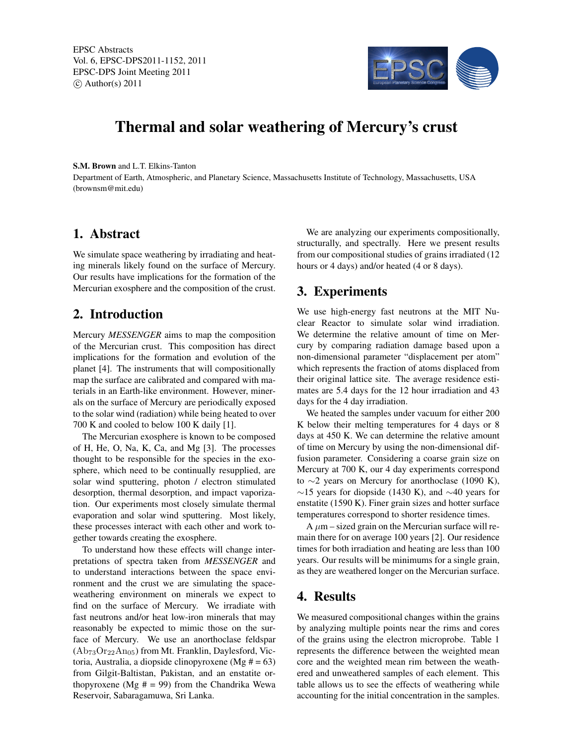

# Thermal and solar weathering of Mercury's crust

S.M. Brown and L.T. Elkins-Tanton

Department of Earth, Atmospheric, and Planetary Science, Massachusetts Institute of Technology, Massachusetts, USA (brownsm@mit.edu)

#### 1. Abstract

We simulate space weathering by irradiating and heating minerals likely found on the surface of Mercury. Our results have implications for the formation of the Mercurian exosphere and the composition of the crust.

# 2. Introduction

Mercury *MESSENGER* aims to map the composition of the Mercurian crust. This composition has direct implications for the formation and evolution of the planet [4]. The instruments that will compositionally map the surface are calibrated and compared with materials in an Earth-like environment. However, minerals on the surface of Mercury are periodically exposed to the solar wind (radiation) while being heated to over 700 K and cooled to below 100 K daily [1].

The Mercurian exosphere is known to be composed of H, He, O, Na, K, Ca, and Mg [3]. The processes thought to be responsible for the species in the exosphere, which need to be continually resupplied, are solar wind sputtering, photon / electron stimulated desorption, thermal desorption, and impact vaporization. Our experiments most closely simulate thermal evaporation and solar wind sputtering. Most likely, these processes interact with each other and work together towards creating the exosphere.

To understand how these effects will change interpretations of spectra taken from *MESSENGER* and to understand interactions between the space environment and the crust we are simulating the spaceweathering environment on minerals we expect to find on the surface of Mercury. We irradiate with fast neutrons and/or heat low-iron minerals that may reasonably be expected to mimic those on the surface of Mercury. We use an anorthoclase feldspar  $(Ab_{73}Or_{22}An_{05})$  from Mt. Franklin, Daylesford, Victoria, Australia, a diopside clinopyroxene (Mg  $# = 63$ ) from Gilgit-Baltistan, Pakistan, and an enstatite orthopyroxene (Mg  $# = 99$ ) from the Chandrika Wewa Reservoir, Sabaragamuwa, Sri Lanka.

We are analyzing our experiments compositionally, structurally, and spectrally. Here we present results from our compositional studies of grains irradiated (12 hours or 4 days) and/or heated (4 or 8 days).

### 3. Experiments

We use high-energy fast neutrons at the MIT Nuclear Reactor to simulate solar wind irradiation. We determine the relative amount of time on Mercury by comparing radiation damage based upon a non-dimensional parameter "displacement per atom" which represents the fraction of atoms displaced from their original lattice site. The average residence estimates are 5.4 days for the 12 hour irradiation and 43 days for the 4 day irradiation.

We heated the samples under vacuum for either 200 K below their melting temperatures for 4 days or 8 days at 450 K. We can determine the relative amount of time on Mercury by using the non-dimensional diffusion parameter. Considering a coarse grain size on Mercury at 700 K, our 4 day experiments correspond to  $\sim$ 2 years on Mercury for anorthoclase (1090 K),  $\sim$ 15 years for diopside (1430 K), and  $\sim$ 40 years for enstatite (1590 K). Finer grain sizes and hotter surface temperatures correspond to shorter residence times.

A  $\mu$ m – sized grain on the Mercurian surface will remain there for on average 100 years [2]. Our residence times for both irradiation and heating are less than 100 years. Our results will be minimums for a single grain, as they are weathered longer on the Mercurian surface.

### 4. Results

We measured compositional changes within the grains by analyzing multiple points near the rims and cores of the grains using the electron microprobe. Table 1 represents the difference between the weighted mean core and the weighted mean rim between the weathered and unweathered samples of each element. This table allows us to see the effects of weathering while accounting for the initial concentration in the samples.